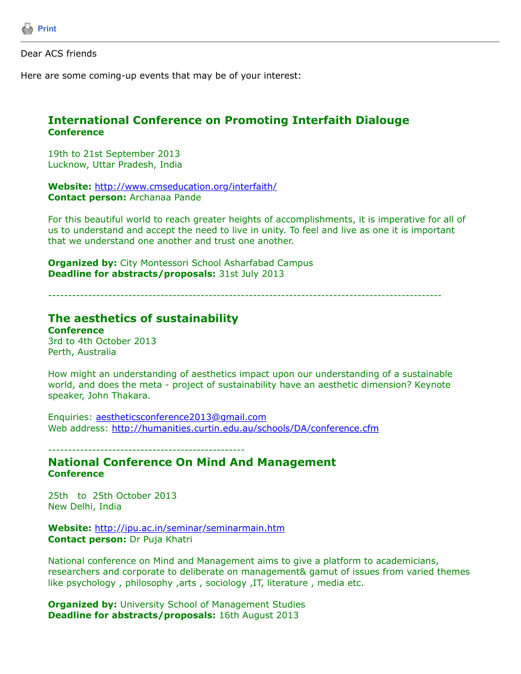

Dear ACS friends

Here are some coming-up events that may be of your interest:

### **International Conference on Promoting Interfaith Dialouge Conference**

19th to 21st September 2013 Lucknow, Uttar Pradesh, India

**Website:** <http://www.cmseducation.org/interfaith/> **Contact person:** Archanaa Pande

For this beautiful world to reach greater heights of accomplishments, it is imperative for all of us to understand and accept the need to live in unity. To feel and live as one it is important that we understand one another and trust one another.

**Organized by:** City Montessori School Asharfabad Campus **Deadline for abstracts/proposals:** 31st July 2013

--------------------------------------------------------------------------------------------------

#### **The aesthetics of sustainability Conference**

3rd to 4th October 2013 Perth, Australia

How might an understanding of aesthetics impact upon our understanding of a sustainable world, and does the meta - project of sustainability have an aesthetic dimension? Keynote speaker, John Thakara.

Enquiries: [aestheticsconference2013@gmail.com](https://listserv.tamu.edu/cgi-bin/aestheticsconference2013@gmail.com) Web address: <http://humanities.curtin.edu.au/schools/DA/conference.cfm>

-------------------------------------------------

**National Conference On Mind And Management Conference**

25th to 25th October 2013 New Delhi, India

**Website:** <http://ipu.ac.in/seminar/seminarmain.htm> **Contact person:** Dr Puja Khatri

National conference on Mind and Management aims to give a platform to academicians, researchers and corporate to deliberate on management& gamut of issues from varied themes like psychology, philosophy, arts, sociology, IT, literature, media etc.

**Organized by: University School of Management Studies Deadline for abstracts/proposals:** 16th August 2013